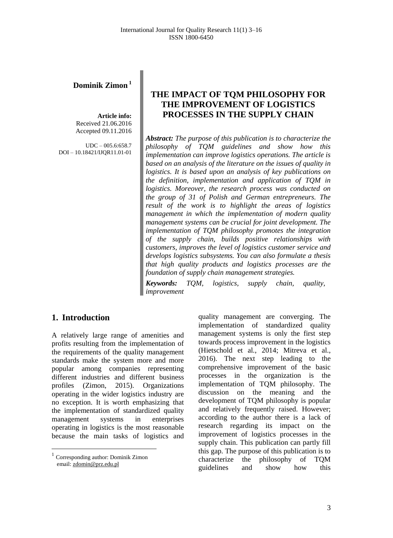### **Dominik Zimon <sup>1</sup>**

**Article info:** Received 21.06.2016 Accepted 09.11.2016

 $UDC - 005.6:658.7$ DOI – 10.18421/IJQR11.01-01

# **THE IMPACT OF TQM PHILOSOPHY FOR THE IMPROVEMENT OF LOGISTICS PROCESSES IN THE SUPPLY CHAIN**

*Abstract: The purpose of this publication is to characterize the philosophy of TQM guidelines and show how this implementation can improve logistics operations. The article is based on an analysis of the literature on the issues of quality in logistics. It is based upon an analysis of key publications on the definition, implementation and application of TQM in logistics. Moreover, the research process was conducted on the group of 31 of Polish and German entrepreneurs. The result of the work is to highlight the areas of logistics management in which the implementation of modern quality management systems can be crucial for joint development. The implementation of TQM philosophy promotes the integration of the supply chain, builds positive relationships with customers, improves the level of logistics customer service and develops logistics subsystems. You can also formulate a thesis that high quality products and logistics processes are the foundation of supply chain management strategies.*

*Keywords: TQM, logistics, supply chain, quality, improvement*

### **1. Introduction<sup>1</sup>**

A relatively large range of amenities and profits resulting from the implementation of the requirements of the quality management standards make the system more and more popular among companies representing different industries and different business profiles (Zimon, 2015). Organizations operating in the wider logistics industry are no exception. It is worth emphasizing that the implementation of standardized quality management systems in enterprises operating in logistics is the most reasonable because the main tasks of logistics and

 1 Corresponding author: Dominik Zimon email: [zdomin@prz.edu.pl](mailto:zdomin@prz.edu.pl)

quality management are converging. The implementation of standardized quality management systems is only the first step towards process improvement in the logistics (Hietschold et al*.*, 2014; Mitreva et al., 2016). The next step leading to the comprehensive improvement of the basic processes in the organization is the implementation of TQM philosophy. The discussion on the meaning and the development of TQM philosophy is popular and relatively frequently raised. However; according to the author there is a lack of research regarding its impact on the improvement of logistics processes in the supply chain. This publication can partly fill this gap. The purpose of this publication is to characterize the philosophy of TQM guidelines and show how this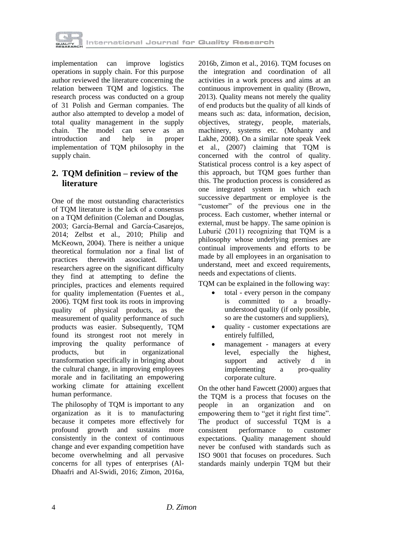

implementation can improve logistics operations in supply chain. For this purpose author reviewed the literature concerning the relation between TQM and logistics. The research process was conducted on a group of 31 Polish and German companies. The author also attempted to develop a model of total quality management in the supply<br>chain. The model can serve as an chain. The model can serve as an introduction and help in proper implementation of TQM philosophy in the supply chain.

## **2. TQM definition – review of the literature**

One of the most outstanding characteristics of TQM literature is the lack of a consensus on a TQM definition (Coleman and Douglas, 2003; García-Bernal and García-Casarejos, 2014; Zelbst et al*.*, 2010; Philip and McKeown, 2004). There is neither a unique theoretical formulation nor a final list of practices therewith associated. Many researchers agree on the significant difficulty they find at attempting to define the principles, practices and elements required for quality implementation (Fuentes et al*.*, 2006). TQM first took its roots in improving quality of physical products, as the measurement of quality performance of such products was easier. Subsequently, TQM found its strongest root not merely in improving the quality performance of products, but in organizational transformation specifically in bringing about the cultural change, in improving employees morale and in facilitating an empowering working climate for attaining excellent human performance.

The philosophy of TQM is important to any organization as it is to manufacturing because it competes more effectively for profound growth and sustains more consistently in the context of continuous change and ever expanding competition have become overwhelming and all pervasive concerns for all types of enterprises (Al-Dhaafri and Al-Swidi, 2016; Zimon, 2016a,

2016b, Zimon et al., 2016). TQM focuses on the integration and coordination of all activities in a work process and aims at an continuous improvement in quality (Brown, 2013). Quality means not merely the quality of end products but the quality of all kinds of means such as: data, information, decision, objectives, strategy, people, materials, machinery, systems etc. (Mohanty and Lakhe, 2008). On a similar note speak Veek et al*.*, (2007) claiming that TQM is concerned with the control of quality. Statistical process control is a key aspect of this approach, but TQM goes further than this. The production process is considered as one integrated system in which each successive department or employee is the "customer" of the previous one in the process. Each customer, whether internal or external, must be happy. The same opinion is Luburić (2011) recognizing that TQM is a philosophy whose underlying premises are continual improvements and efforts to be made by all employees in an organisation to understand, meet and exceed requirements, needs and expectations of clients.

TQM can be explained in the following way:

- total every person in the company is committed to a broadlyunderstood quality (if only possible, so are the customers and suppliers),
- quality customer expectations are entirely fulfilled,
- management managers at every level, especially the highest, support and actively d in implementing a pro-quality corporate culture.

On the other hand Fawcett (2000) argues that the TQM is a process that focuses on the people in an organization and on empowering them to "get it right first time". The product of successful TQM is a consistent performance to customer expectations. Quality management should never be confused with standards such as ISO 9001 that focuses on procedures. Such standards mainly underpin TQM but their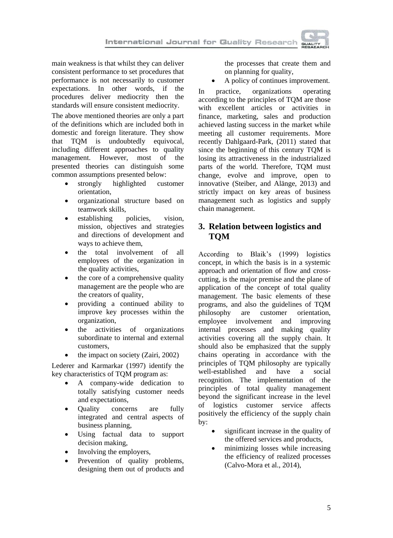main weakness is that whilst they can deliver consistent performance to set procedures that performance is not necessarily to customer expectations. In other words, if the procedures deliver mediocrity then the standards will ensure consistent mediocrity.

The above mentioned theories are only a part of the definitions which are included both in domestic and foreign literature. They show that TQM is undoubtedly equivocal, including different approaches to quality management. However, most of the presented theories can distinguish some common assumptions presented below:

- strongly highlighted customer orientation,
- organizational structure based on teamwork skills,
- establishing policies, vision, mission, objectives and strategies and directions of development and ways to achieve them,
- the total involvement of all employees of the organization in the quality activities,
- the core of a comprehensive quality management are the people who are the creators of quality,
- providing a continued ability to improve key processes within the organization,
- the activities of organizations subordinate to internal and external customers,
- the impact on society (Zairi, 2002)

Lederer and Karmarkar (1997) identify the key characteristics of TQM program as:

- A company-wide dedication to totally satisfying customer needs and expectations,
- Quality concerns are fully integrated and central aspects of business planning,
- Using factual data to support decision making,
- Involving the employers,
- Prevention of quality problems, designing them out of products and

the processes that create them and on planning for quality,

A policy of continues improvement.

In practice, organizations operating according to the principles of TQM are those with excellent articles or activities in finance, marketing, sales and production achieved lasting success in the market while meeting all customer requirements. More recently Dahlgaard-Park, (2011) stated that since the beginning of this century TQM is losing its attractiveness in the industrialized parts of the world. Therefore, TQM must change, evolve and improve, open to innovative (Steiber, and Alänge, 2013) and strictly impact on key areas of business management such as logistics and supply chain management.

## **3. Relation between logistics and TQM**

According to Blaik's (1999) logistics concept, in which the basis is in a systemic approach and orientation of flow and crosscutting, is the major premise and the plane of application of the concept of total quality management. The basic elements of these programs, and also the guidelines of TQM philosophy are customer orientation, employee involvement and improving internal processes and making quality activities covering all the supply chain. It should also be emphasized that the supply chains operating in accordance with the principles of TQM philosophy are typically well-established and have a social recognition. The implementation of the principles of total quality management beyond the significant increase in the level of logistics customer service affects positively the efficiency of the supply chain by:

- significant increase in the quality of the offered services and products,
- minimizing losses while increasing the efficiency of realized processes (Calvo-Mora et al., 2014),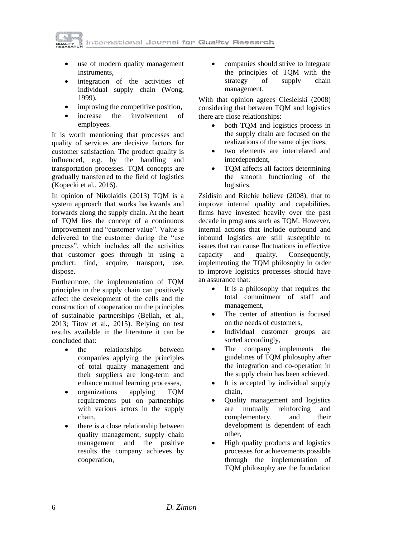International Journal for Quality Research

- use of modern quality management instruments,
- integration of the activities of individual supply chain (Wong, 1999),
- improving the competitive position,
- increase the involvement of employees.

It is worth mentioning that processes and quality of services are decisive factors for customer satisfaction. The product quality is influenced, e.g. by the handling and transportation processes. TQM concepts are gradually transferred to the field of logistics (Kopecki et al*.*, 2016).

In opinion of Nikolaidis (2013) TQM is a system approach that works backwards and forwards along the supply chain. At the heart of TQM lies the concept of a continuous improvement and "customer value". Value is delivered to the customer during the "use process", which includes all the activities that customer goes through in using a product: find, acquire, transport, use, dispose.

Furthermore, the implementation of TQM principles in the supply chain can positively affect the development of the cells and the construction of cooperation on the principles of sustainable partnerships (Bellah, et al*.*, 2013; Titov et al*.*, 2015). Relying on test results available in the literature it can be concluded that:

- the relationships between companies applying the principles of total quality management and their suppliers are long-term and enhance mutual learning processes,
- organizations applying TQM requirements put on partnerships with various actors in the supply chain,
- there is a close relationship between quality management, supply chain management and the positive results the company achieves by cooperation,

• companies should strive to integrate the principles of TQM with the strategy of supply chain management.

With that opinion agrees Ciesielski (2008) considering that between TQM and logistics there are close relationships:

- both TQM and logistics process in the supply chain are focused on the realizations of the same objectives,
- two elements are interrelated and interdependent,
- TOM affects all factors determining the smooth functioning of the logistics.

Zsidisin and Ritchie believe (2008), that to improve internal quality and capabilities, firms have invested heavily over the past decade in programs such as TQM. However, internal actions that include outbound and inbound logistics are still susceptible to issues that can cause fluctuations in effective capacity and quality. Consequently, implementing the TQM philosophy in order to improve logistics processes should have an assurance that:

- It is a philosophy that requires the total commitment of staff and management,
- The center of attention is focused on the needs of customers,
- Individual customer groups are sorted accordingly,
- The company implements the guidelines of TQM philosophy after the integration and co-operation in the supply chain has been achieved.
- It is accepted by individual supply chain,
- Quality management and logistics are mutually reinforcing and complementary, and their development is dependent of each other,
- High quality products and logistics processes for achievements possible through the implementation of TQM philosophy are the foundation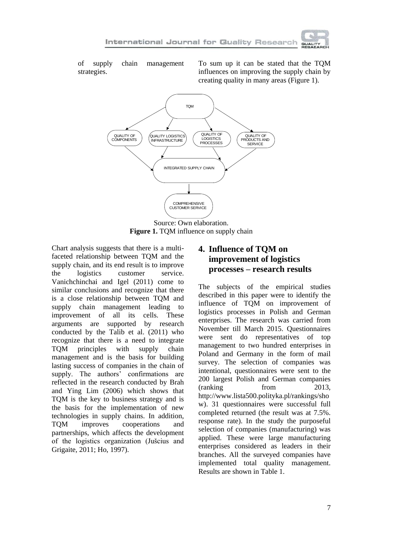of supply chain management strategies.

To sum up it can be stated that the TQM influences on improving the supply chain by creating quality in many areas (Figure 1).



**Figure 1.** TQM influence on supply chain

Chart analysis suggests that there is a multifaceted relationship between TQM and the supply chain, and its end result is to improve the logistics customer service. Vanichchinchai and Igel (2011) come to similar conclusions and recognize that there is a close relationship between TQM and supply chain management leading to improvement of all its cells. These arguments are supported by research conducted by the Talib et al. (2011) who recognize that there is a need to integrate TQM principles with supply chain management and is the basis for building lasting success of companies in the chain of supply. The authors' confirmations are reflected in the research conducted by Brah and Ying Lim (2006) which shows that TQM is the key to business strategy and is the basis for the implementation of new technologies in supply chains. In addition, TQM improves cooperations and partnerships, which affects the development of the logistics organization (Jušcius and Grigaite, 2011; Ho, 1997).

# **4. Influence of TQM on improvement of logistics processes – research results**

The subjects of the empirical studies described in this paper were to identify the influence of TQM on improvement of logistics processes in Polish and German enterprises. The research was carried from November till March 2015. Questionnaires were sent do representatives of top management to two hundred enterprises in Poland and Germany in the form of mail survey. The selection of companies was intentional, questionnaires were sent to the 200 largest Polish and German companies (ranking from 2013, http://www.lista500.polityka.pl/rankings/sho w). 31 questionnaires were successful full completed returned (the result was at 7.5%. response rate). In the study the purposeful selection of companies (manufacturing) was applied. These were large manufacturing enterprises considered as leaders in their branches. All the surveyed companies have implemented total quality management. Results are shown in Table 1.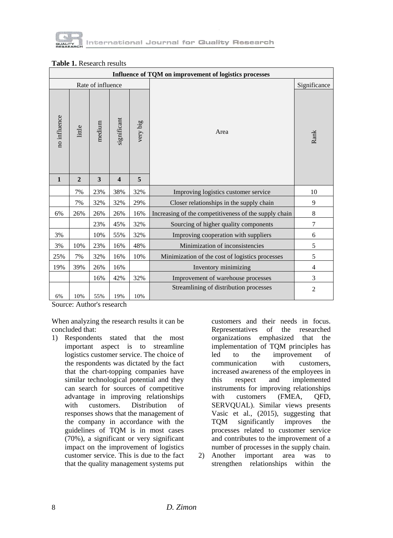

| Influence of TQM on improvement of logistics processes |                |        |                         |          |                                                       |                |
|--------------------------------------------------------|----------------|--------|-------------------------|----------|-------------------------------------------------------|----------------|
| Rate of influence                                      |                |        |                         |          |                                                       | Significance   |
| no influence                                           | little         | medium | significant             | very big | Area                                                  | Rank           |
| $\mathbf{1}$                                           | $\overline{2}$ | 3      | $\overline{\mathbf{4}}$ | 5        |                                                       |                |
|                                                        | 7%             | 23%    | 38%                     | 32%      | Improving logistics customer service                  | 10             |
|                                                        | 7%             | 32%    | 32%                     | 29%      | Closer relationships in the supply chain              | 9              |
| 6%                                                     | 26%            | 26%    | 26%                     | 16%      | Increasing of the competitiveness of the supply chain | 8              |
|                                                        |                | 23%    | 45%                     | 32%      | Sourcing of higher quality components                 | 7              |
| 3%                                                     |                | 10%    | 55%                     | 32%      | Improving cooperation with suppliers                  | 6              |
| 3%                                                     | 10%            | 23%    | 16%                     | 48%      | Minimization of inconsistencies                       | 5              |
| 25%                                                    | 7%             | 32%    | 16%                     | 10%      | Minimization of the cost of logistics processes       | 5              |
| 19%                                                    | 39%            | 26%    | 16%                     |          | Inventory minimizing                                  | 4              |
|                                                        |                | 16%    | 42%                     | 32%      | Improvement of warehouse processes                    | 3              |
|                                                        |                |        |                         |          | Streamlining of distribution processes                | $\overline{2}$ |
| 6%                                                     | 10%            | 55%    | 19%                     | 10%      |                                                       |                |

#### **Table 1.** Research results

Source: Author's research

When analyzing the research results it can be concluded that:

1) Respondents stated that the most important aspect is to streamline logistics customer service. The choice of the respondents was dictated by the fact that the chart-topping companies have similar technological potential and they can search for sources of competitive advantage in improving relationships with customers. Distribution of responses shows that the management of the company in accordance with the guidelines of TQM is in most cases (70%), a significant or very significant impact on the improvement of logistics customer service. This is due to the fact that the quality management systems put

customers and their needs in focus. Representatives of the researched organizations emphasized that the implementation of TQM principles has led to the improvement of communication with customers, increased awareness of the employees in this respect and implemented instruments for improving relationships with customers (FMEA, OFD, SERVQUAL). Similar views presents Vasic et al*.*, (2015), suggesting that TQM significantly improves the processes related to customer service and contributes to the improvement of a number of processes in the supply chain.

2) Another important area was to strengthen relationships within the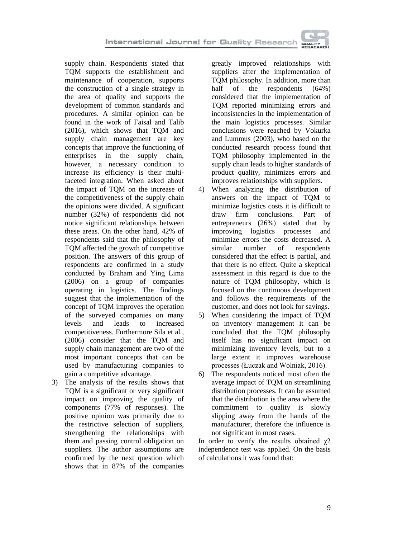International Journal for Quality Research

supply chain. Respondents stated that TQM supports the establishment and maintenance of cooperation, supports the construction of a single strategy in the area of quality and supports the development of common standards and procedures. A similar opinion can be found in the work of Faisal and Talib (2016), which shows that TQM and supply chain management are key concepts that improve the functioning of enterprises in the supply chain, however, a necessary condition to increase its efficiency is their multifaceted integration. When asked about the impact of TQM on the increase of the competitiveness of the supply chain the opinions were divided. A significant number (32%) of respondents did not notice significant relationships between these areas. On the other hand, 42% of respondents said that the philosophy of TQM affected the growth of competitive position. The answers of this group of respondents are confirmed in a study conducted by Braham and Ying Lima (2006) on a group of companies operating in logistics. The findings suggest that the implementation of the concept of TQM improves the operation of the surveyed companies on many levels and leads to increased competitiveness. Furthermore Sila et al*.*, (2006) consider that the TQM and supply chain management are two of the most important concepts that can be used by manufacturing companies to gain a competitive advantage.

3) The analysis of the results shows that TQM is a significant or very significant impact on improving the quality of components (77% of responses). The positive opinion was primarily due to the restrictive selection of suppliers, strengthening the relationships with them and passing control obligation on suppliers. The author assumptions are confirmed by the next question which shows that in 87% of the companies

greatly improved relationships with suppliers after the implementation of TQM philosophy. In addition, more than<br>half of the respondents (64%) half of the respondents  $(64%)$ considered that the implementation of TQM reported minimizing errors and inconsistencies in the implementation of the main logistics processes. Similar conclusions were reached by Vokurka and Lummus (2003), who based on the conducted research process found that TQM philosophy implemented in the supply chain leads to higher standards of product quality, minimizes errors and improves relationships with suppliers.

- 4) When analyzing the distribution of answers on the impact of TQM to minimize logistics costs it is difficult to draw firm conclusions. Part of entrepreneurs (26%) stated that by improving logistics processes and minimize errors the costs decreased. A similar number of respondents considered that the effect is partial, and that there is no effect. Quite a skeptical assessment in this regard is due to the nature of TQM philosophy, which is focused on the continuous development and follows the requirements of the customer, and does not look for savings.
- 5) When considering the impact of TQM on inventory management it can be concluded that the TQM philosophy itself has no significant impact on minimizing inventory levels, but to a large extent it improves warehouse processes (Łuczak and Wolniak, 2016).
- 6) The respondents noticed most often the average impact of TQM on streamlining distribution processes. It can be assumed that the distribution is the area where the commitment to quality is slowly slipping away from the hands of the manufacturer, therefore the influence is not significant in most cases.

In order to verify the results obtained  $\gamma$ 2 independence test was applied. On the basis of calculations it was found that: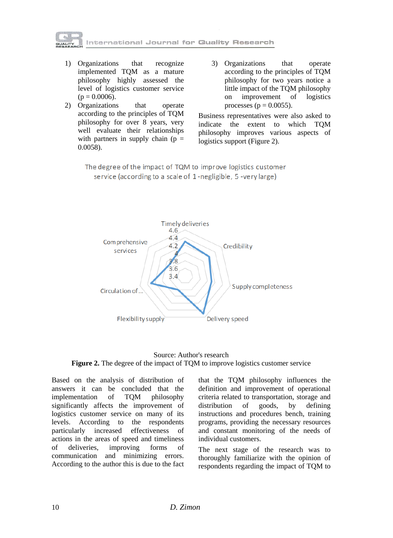

- 1) Organizations that recognize implemented TQM as a mature philosophy highly assessed the level of logistics customer service  $(p = 0.0006)$ .
- 2) Organizations that operate according to the principles of TQM philosophy for over 8 years, very well evaluate their relationships with partners in supply chain ( $p =$ 0.0058).
- 3) Organizations that operate according to the principles of TQM philosophy for two years notice a little impact of the TQM philosophy on improvement of logistics processes ( $p = 0.0055$ ).

Business representatives were also asked to indicate the extent to which TQM philosophy improves various aspects of logistics support (Figure 2).

The degree of the impact of TQM to improve logistics customer service (according to a scale of 1-negligible, 5-very large)



#### Source: Author's research **Figure 2.** The degree of the impact of TQM to improve logistics customer service

Based on the analysis of distribution of answers it can be concluded that the implementation of TQM philosophy significantly affects the improvement of logistics customer service on many of its levels. According to the respondents particularly increased effectiveness of actions in the areas of speed and timeliness of deliveries, improving forms of communication and minimizing errors. According to the author this is due to the fact

that the TQM philosophy influences the definition and improvement of operational criteria related to transportation, storage and distribution of goods, by defining instructions and procedures bench, training programs, providing the necessary resources and constant monitoring of the needs of individual customers.

The next stage of the research was to thoroughly familiarize with the opinion of respondents regarding the impact of TQM to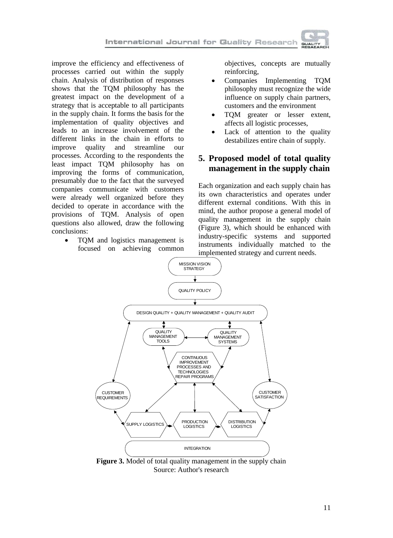improve the efficiency and effectiveness of processes carried out within the supply chain. Analysis of distribution of responses shows that the TQM philosophy has the greatest impact on the development of a strategy that is acceptable to all participants in the supply chain. It forms the basis for the implementation of quality objectives and leads to an increase involvement of the different links in the chain in efforts to improve quality and streamline our processes. According to the respondents the least impact TQM philosophy has on improving the forms of communication, presumably due to the fact that the surveyed companies communicate with customers were already well organized before they decided to operate in accordance with the provisions of TQM. Analysis of open questions also allowed, draw the following conclusions:

• TQM and logistics management is focused on achieving common

objectives, concepts are mutually reinforcing,

- Companies Implementing TQM philosophy must recognize the wide influence on supply chain partners, customers and the environment
- TQM greater or lesser extent, affects all logistic processes,
- Lack of attention to the quality destabilizes entire chain of supply.

## **5. Proposed model of total quality management in the supply chain**

Each organization and each supply chain has its own characteristics and operates under different external conditions. With this in mind, the author propose a general model of quality management in the supply chain (Figure 3), which should be enhanced with industry-specific systems and supported instruments individually matched to the implemented strategy and current needs.



**Figure 3.** Model of total quality management in the supply chain Source: Author's research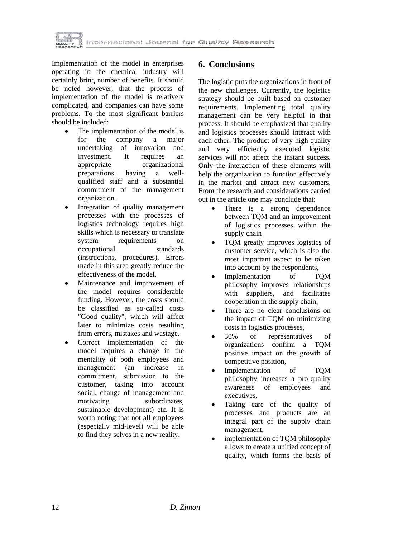

Implementation of the model in enterprises operating in the chemical industry will certainly bring number of benefits. It should be noted however, that the process of implementation of the model is relatively complicated, and companies can have some problems. To the most significant barriers should be included:

- The implementation of the model is for the company a major undertaking of innovation and investment. It requires an appropriate organizational preparations, having a wellqualified staff and a substantial commitment of the management organization.
- Integration of quality management processes with the processes of logistics technology requires high skills which is necessary to translate system requirements on occupational standards (instructions, procedures). Errors made in this area greatly reduce the effectiveness of the model.
- Maintenance and improvement of the model requires considerable funding. However, the costs should be classified as so-called costs "Good quality", which will affect later to minimize costs resulting from errors, mistakes and wastage.
- Correct implementation of the model requires a change in the mentality of both employees and management (an increase in commitment, submission to the customer, taking into account social, change of management and motivating subordinates. sustainable development) etc. It is worth noting that not all employees (especially mid-level) will be able to find they selves in a new reality.

#### **6. Conclusions**

The logistic puts the organizations in front of the new challenges. Currently, the logistics strategy should be built based on customer requirements. Implementing total quality management can be very helpful in that process. It should be emphasized that quality and logistics processes should interact with each other. The product of very high quality and very efficiently executed logistic services will not affect the instant success. Only the interaction of these elements will help the organization to function effectively in the market and attract new customers. From the research and considerations carried out in the article one may conclude that:

- There is a strong dependence between TQM and an improvement of logistics processes within the supply chain
- TOM greatly improves logistics of customer service, which is also the most important aspect to be taken into account by the respondents,
- Implementation of TOM philosophy improves relationships with suppliers, and facilitates cooperation in the supply chain,
- There are no clear conclusions on the impact of TQM on minimizing costs in logistics processes,
- 30% of representatives of organizations confirm a TQM positive impact on the growth of competitive position,
- Implementation of TQM philosophy increases a pro-quality awareness of employees and executives,
- Taking care of the quality of processes and products are an integral part of the supply chain management,
- implementation of TQM philosophy allows to create a unified concept of quality, which forms the basis of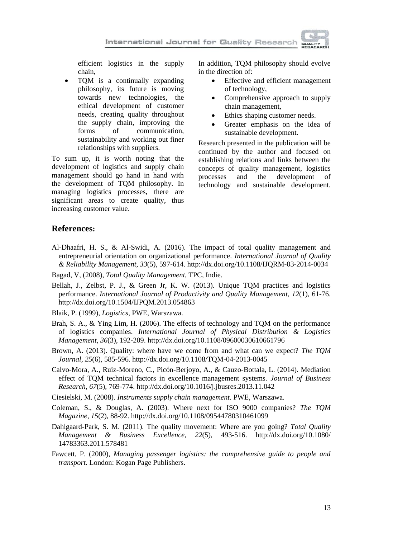efficient logistics in the supply chain,

 TQM is a continually expanding philosophy, its future is moving towards new technologies, the ethical development of customer needs, creating quality throughout the supply chain, improving the forms of communication, sustainability and working out finer relationships with suppliers.

To sum up, it is worth noting that the development of logistics and supply chain management should go hand in hand with the development of TQM philosophy. In managing logistics processes, there are significant areas to create quality, thus increasing customer value.

In addition, TQM philosophy should evolve in the direction of:

- Effective and efficient management of technology,
- Comprehensive approach to supply chain management,
- Ethics shaping customer needs.
- Greater emphasis on the idea of sustainable development.

Research presented in the publication will be continued by the author and focused on establishing relations and links between the concepts of quality management, logistics processes and the development of technology and sustainable development.

### **References:**

- Al-Dhaafri, H. S., & Al-Swidi, A. (2016). The impact of total quality management and entrepreneurial orientation on organizational performance. *International Journal of Quality & Reliability Management*, *33*(5), 597-614. http://dx.doi.org/10.1108/IJQRM-03-2014-0034
- Bagad, V, (2008), *Total Quality Management*, TPC, Indie.
- Bellah, J., Zelbst, P. J., & Green Jr, K. W. (2013). Unique TQM practices and logistics performance. *International Journal of Productivity and Quality Management*, *12*(1), 61-76. http://dx.doi.org/10.1504/IJPQM.2013.054863
- Blaik, P. (1999), *Logistics,* PWE, Warszawa.
- Brah, S. A., & Ying Lim, H. (2006). The effects of technology and TQM on the performance of logistics companies. *International Journal of Physical Distribution & Logistics Management*, *36*(3), 192-209. http://dx.doi.org/10.1108/09600030610661796
- Brown, A. (2013). Quality: where have we come from and what can we expect? *The TQM Journal*, *25*(6), 585-596. http://dx.doi.org/10.1108/TQM-04-2013-0045
- Calvo-Mora, A., Ruiz-Moreno, C., Picón-Berjoyo, A., & Cauzo-Bottala, L. (2014). Mediation effect of TQM technical factors in excellence management systems. *Journal of Business Research*, *67*(5), 769-774. http://dx.doi.org/10.1016/j.jbusres.2013.11.042
- Ciesielski, M. (2008). *Instruments supply chain management*. PWE, Warszawa.
- Coleman, S., & Douglas, A. (2003). Where next for ISO 9000 companies? *The TQM Magazine*, *15*(2), 88-92. http://dx.doi.org/10.1108/09544780310461099
- Dahlgaard-Park, S. M. (2011). The quality movement: Where are you going? *Total Quality Management & Business Excellence, 22*(5), 493-516. http://dx.doi.org/10.1080/ 14783363.2011.578481
- Fawcett, P. (2000), *Managing passenger logistics: the comprehensive guide to people and transport*. London: Kogan Page Publishers.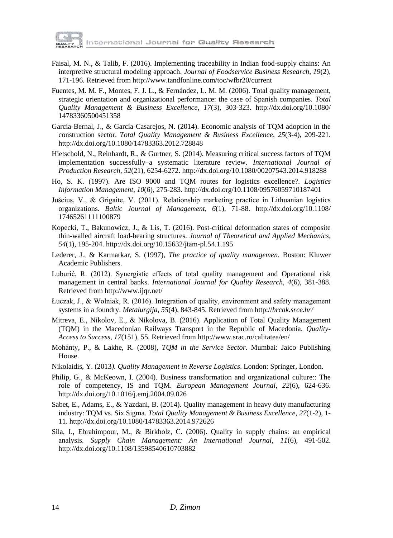

- Faisal, M. N., & Talib, F. (2016). Implementing traceability in Indian food-supply chains: An interpretive structural modeling approach. *Journal of Foodservice Business Research*, *19*(2), 171-196. Retrieved from http://www.tandfonline.com/toc/wfbr20/current
- Fuentes, M. M. F., Montes, F. J. L., & Fernández, L. M. M. (2006). Total quality management, strategic orientation and organizational performance: the case of Spanish companies. *Total Quality Management & Business Excellence*, *17*(3), 303-323. http://dx.doi.org/10.1080/ 14783360500451358
- García-Bernal, J., & García-Casarejos, N. (2014). Economic analysis of TQM adoption in the construction sector. *Total Quality Management & Business Excellence*, *25*(3-4), 209-221. http://dx.doi.org/10.1080/14783363.2012.728848
- Hietschold, N., Reinhardt, R., & Gurtner, S. (2014). Measuring critical success factors of TQM implementation successfully–a systematic literature review. *International Journal of Production Research*, *52*(21), 6254-6272.<http://dx.doi.org/10.1080/00207543.2014.918288>
- Ho, S. K. (1997). Are ISO 9000 and TQM routes for logistics excellence?. *Logistics Information Management*, *10*(6), 275-283. http://dx.doi.org/10.1108/09576059710187401
- Jušcius, V., & Grigaite, V. (2011). Relationship marketing practice in Lithuanian logistics organizations. *Baltic Journal of Management*, *6*(1), 71-88. http://dx.doi.org/10.1108/ 17465261111100879
- Kopecki, T., Bakunowicz, J., & Lis, T. (2016). Post-critical deformation states of composite thin-walled aircraft load-bearing structures. *Journal of Theoretical and Applied Mechanics*, *54*(1), 195-204. http://dx.doi.org/10.15632/jtam-pl.54.1.195
- Lederer, J., & Karmarkar, S. (1997), *The practice of quality managemen.* Boston: Kluwer Academic Publishers.
- Luburić, R. (2012). Synergistic effects of total quality management and Operational risk management in central banks. *International Journal for Quality Research*, *4*(6), 381-388. Retrieved from http://www.ijqr.net/
- Łuczak, J., & Wolniak, R. (2016). Integration of quality, environment and safety management systems in a foundry. *Metalurgija*, *55*(4), 843-845. Retrieved from http://*hrcak.srce.hr/*
- Mitreva, E., Nikolov, E., & Nikolova, B. (2016). Application of Total Quality Management (TQM) in the Macedonian Railways Transport in the Republic of Macedonia. *Quality-Access to Success*, *17*(151), 55. Retrieved from http://www.srac.ro/calitatea/en/
- Mohanty, P., & Lakhe, R. (2008), *TQM in the Service Sector*. Mumbai: Jaico Publishing House.
- Nikolaidis, Y. (2013*). Quality Management in Reverse Logistics*. London: Springer, London.
- Philip, G., & McKeown, I. (2004). Business transformation and organizational culture:: The role of competency, IS and TQM. *European Management Journal*, *22*(6), 624-636. http://dx.doi.org/10.1016/j.emj.2004.09.026
- Sabet, E., Adams, E., & Yazdani, B. (2014). Quality management in heavy duty manufacturing industry: TQM vs. Six Sigma. *Total Quality Management & Business Excellence*, *27*(1-2), 1- 11. http://dx.doi.org/10.1080/14783363.2014.972626
- Sila, I., Ebrahimpour, M., & Birkholz, C. (2006). Quality in supply chains: an empirical analysis. *Supply Chain Management: An International Journal*, *11*(6), 491-502. http://dx.doi.org/10.1108/13598540610703882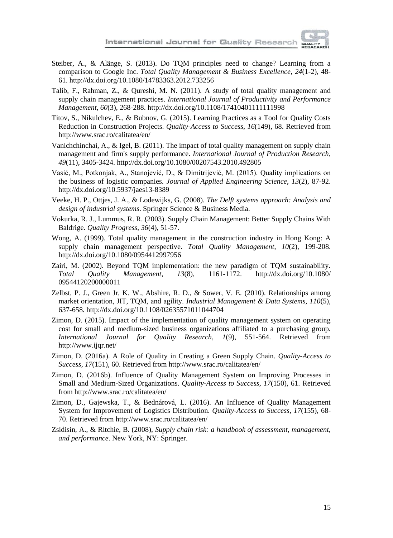

- Steiber, A., & Alänge, S. (2013). Do TQM principles need to change? Learning from a comparison to Google Inc. *Total Quality Management & Business Excellence*, *24*(1-2), 48- 61. http://dx.doi.org/10.1080/14783363.2012.733256
- Talib, F., Rahman, Z., & Qureshi, M. N. (2011). A study of total quality management and supply chain management practices. *International Journal of Productivity and Performance Management*, *60*(3), 268-288. http://dx.doi.org/10.1108/17410401111111998
- Titov, S., Nikulchev, E., & Bubnov, G. (2015). Learning Practices as a Tool for Quality Costs Reduction in Construction Projects. *Quality-Access to Success*, *16*(149), 68. Retrieved from http://www.srac.ro/calitatea/en/
- Vanichchinchai, A., & Igel, B. (2011). The impact of total quality management on supply chain management and firm's supply performance. *International Journal of Production Research*, *49*(11), 3405-3424. http://dx.doi.org/10.1080/00207543.2010.492805
- Vasić, M., Potkonjak, A., Stanojević, D., & Dimitrijević, M. (2015). Quality implications on the business of logistic companies. *Journal of Applied Engineering Science*, *13*(2), 87-92. http://dx.doi.org/10.5937/jaes13-8389
- Veeke, H. P., Ottjes, J. A., & Lodewijks, G. (2008). *The Delft systems approach: Analysis and design of industrial systems*. Springer Science & Business Media.
- Vokurka, R. J., Lummus, R. R. (2003). Supply Chain Management: Better Supply Chains With Baldrige. *Quality Progress*, *36*(4), 51-57.
- Wong, A. (1999). Total quality management in the construction industry in Hong Kong: A supply chain management perspective. *Total Quality Management*, *10*(2), 199-208. http://dx.doi.org/10.1080/0954412997956
- Zairi, M. (2002). Beyond TQM implementation: the new paradigm of TQM sustainability. *Total Quality Management*, *13*(8), 1161-1172. http://dx.doi.org/10.1080/ 09544120200000011
- Zelbst, P. J., Green Jr, K. W., Abshire, R. D., & Sower, V. E. (2010). Relationships among market orientation, JIT, TQM, and agility. *Industrial Management & Data Systems*, *110*(5), 637-658. http://dx.doi.org/10.1108/02635571011044704
- Zimon, D. (2015). Impact of the implementation of quality management system on operating cost for small and medium-sized business organizations affiliated to a purchasing group. *International Journal for Quality Research*, *1*(9), 551-564. Retrieved from http://www.ijqr.net/
- Zimon, D. (2016a). A Role of Quality in Creating a Green Supply Chain. *Quality-Access to Success*, *17*(151), 60. Retrieved from http://www.srac.ro/calitatea/en/
- Zimon, D. (2016b). Influence of Quality Management System on Improving Processes in Small and Medium-Sized Organizations. *Quality-Access to Success*, *17*(150), 61. Retrieved from http://www.srac.ro/calitatea/en/
- Zimon, D., Gajewska, T., & Bednárová, L. (2016). An Influence of Quality Management System for Improvement of Logistics Distribution. *Quality-Access to Success*, *17*(155), 68- 70. Retrieved from http://www.srac.ro/calitatea/en/
- Zsidisin, A., & Ritchie, B. (2008), *Supply chain risk: a handbook of assessment, management, and performance*. New York, NY: Springer.